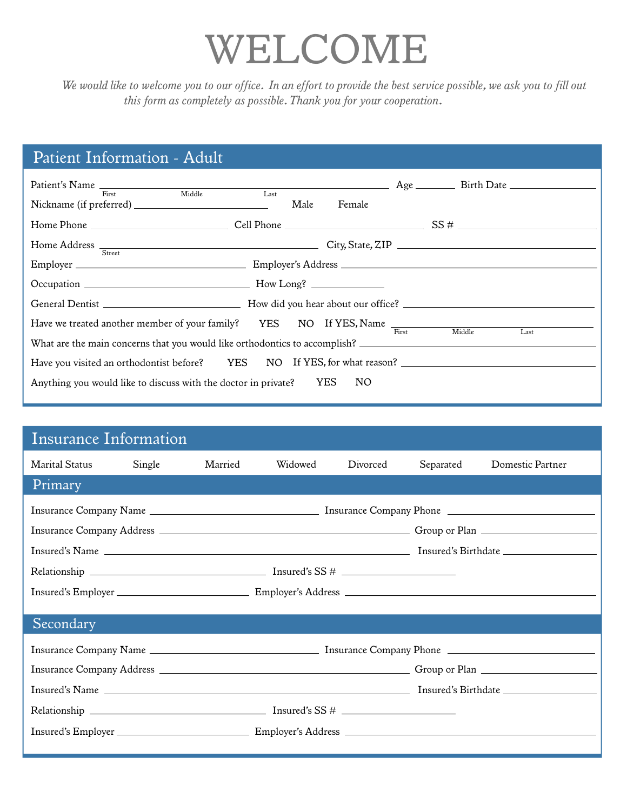# *WELCOME*

*We would like to welcome you to our office. In an effort to provide the best service possible, we ask you to fill out this form as completely as possible. Thank you for your cooperation.*

## *Patient Information - Adult*

| Middle<br>$\overline{\phantom{1}}$ Last<br>First                                |                |  |  |      |  |  |
|---------------------------------------------------------------------------------|----------------|--|--|------|--|--|
|                                                                                 | Male<br>Female |  |  |      |  |  |
|                                                                                 |                |  |  |      |  |  |
| Home Address <sub>Street</sub> State, ZIP City, State, ZIP                      |                |  |  |      |  |  |
|                                                                                 |                |  |  |      |  |  |
|                                                                                 |                |  |  |      |  |  |
|                                                                                 |                |  |  |      |  |  |
| Have we treated another member of your family? YES NO If YES, Name First Middle |                |  |  | Last |  |  |
|                                                                                 |                |  |  |      |  |  |
| Have you visited an orthodontist before? YES NO If YES, for what reason?        |                |  |  |      |  |  |
| Anything you would like to discuss with the doctor in private? YES<br>NO        |                |  |  |      |  |  |

### *Insurance Information*

| <b>Marital Status</b> | Single | Married | Widowed | Divorced | Separated | Domestic Partner |
|-----------------------|--------|---------|---------|----------|-----------|------------------|
| Primary               |        |         |         |          |           |                  |
|                       |        |         |         |          |           |                  |
|                       |        |         |         |          |           |                  |
|                       |        |         |         |          |           |                  |
| Secondary             |        |         |         |          |           |                  |
|                       |        |         |         |          |           |                  |
|                       |        |         |         |          |           |                  |
|                       |        |         |         |          |           |                  |
|                       |        |         |         |          |           |                  |
|                       |        |         |         |          |           |                  |